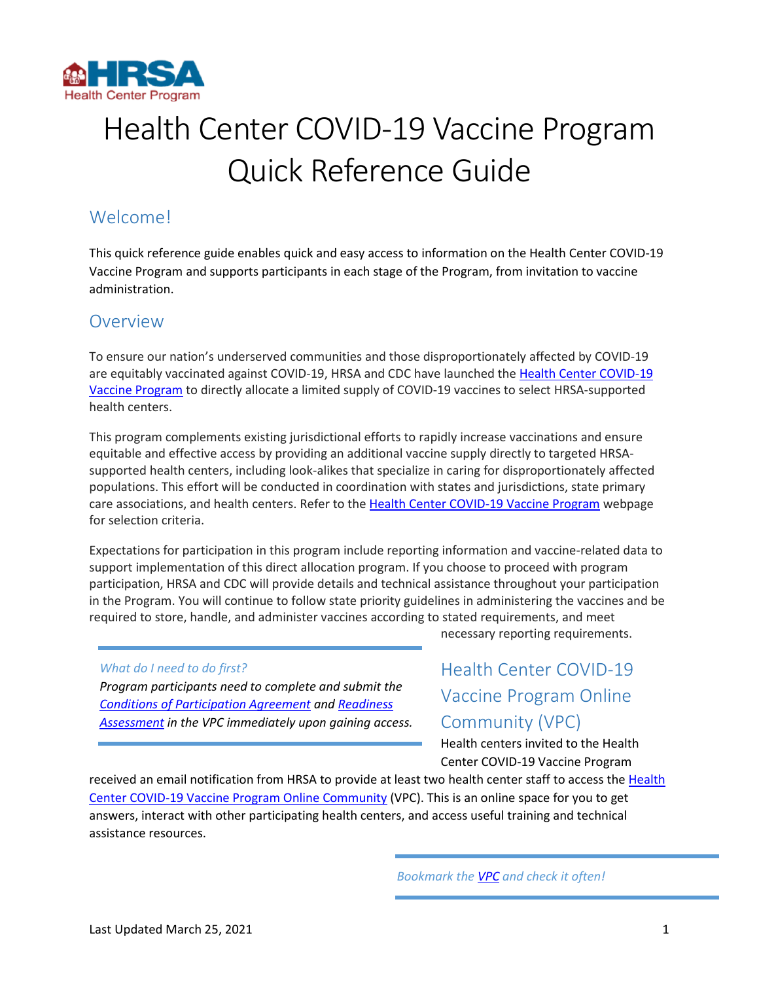

# Health Center COVID-19 Vaccine Program Quick Reference Guide

# Welcome!

This quick reference guide enables quick and easy access to information on the Health Center COVID-19 Vaccine Program and supports participants in each stage of the Program, from invitation to vaccine administration.

## Overview

To ensure our nation's underserved communities and those disproportionately affected by COVID-19 are equitably vaccinated against COVID-19, HRSA and CDC have launched the [Health Center COVID-19](https://www.hrsa.gov/coronavirus/health-center-program)  [Vaccine Program](https://www.hrsa.gov/coronavirus/health-center-program) to directly allocate a limited supply of COVID-19 vaccines to select HRSA-supported health centers.

This program complements existing jurisdictional efforts to rapidly increase vaccinations and ensure equitable and effective access by providing an additional vaccine supply directly to targeted HRSAsupported health centers, including look-alikes that specialize in caring for disproportionately affected populations. This effort will be conducted in coordination with states and jurisdictions, state primary care associations, and health centers. Refer to the [Health Center COVID-19 Vaccine Program](https://www.hrsa.gov/coronavirus/health-center-program) webpage for selection criteria.

Expectations for participation in this program include reporting information and vaccine-related data to support implementation of this direct allocation program. If you choose to proceed with program participation, HRSA and CDC will provide details and technical assistance throughout your participation in the Program. You will continue to follow state priority guidelines in administering the vaccines and be required to store, handle, and administer vaccines according to stated requirements, and meet

#### *What do I need to do first?*

*Program participants need to complete and submit the [Conditions of Participation Agreement](https://hrsa.force.com/HRSABPHC/s/participation-agreement) an[d Readiness](https://hrsa.force.com/HRSABPHC/s/vaccine-readiness-assessment)  [Assessment](https://hrsa.force.com/HRSABPHC/s/vaccine-readiness-assessment) in the VPC immediately upon gaining access.* necessary reporting requirements.

# <span id="page-0-0"></span>Health Center COVID-19 Vaccine Program Online Community (VPC)

Health centers invited to the Health Center COVID-19 Vaccine Program

received an email notification from HRSA to provide at least two health center staff to access the [Health](https://hrsa.force.com/HRSABPHC/s/login/?ec=302&startURL=%2FHRSABPHC%2Fs%2F)  [Center COVID-19 Vaccine Program Online Community](https://hrsa.force.com/HRSABPHC/s/login/?ec=302&startURL=%2FHRSABPHC%2Fs%2F) (VPC). This is an online space for you to get answers, interact with other participating health centers, and access useful training and technical assistance resources.

*Bookmark the [VPC](https://hrsa.force.com/HRSABPHC/s/login/?ec=302&startURL=%2FHRSABPHC%2Fs%2F) and check it often!*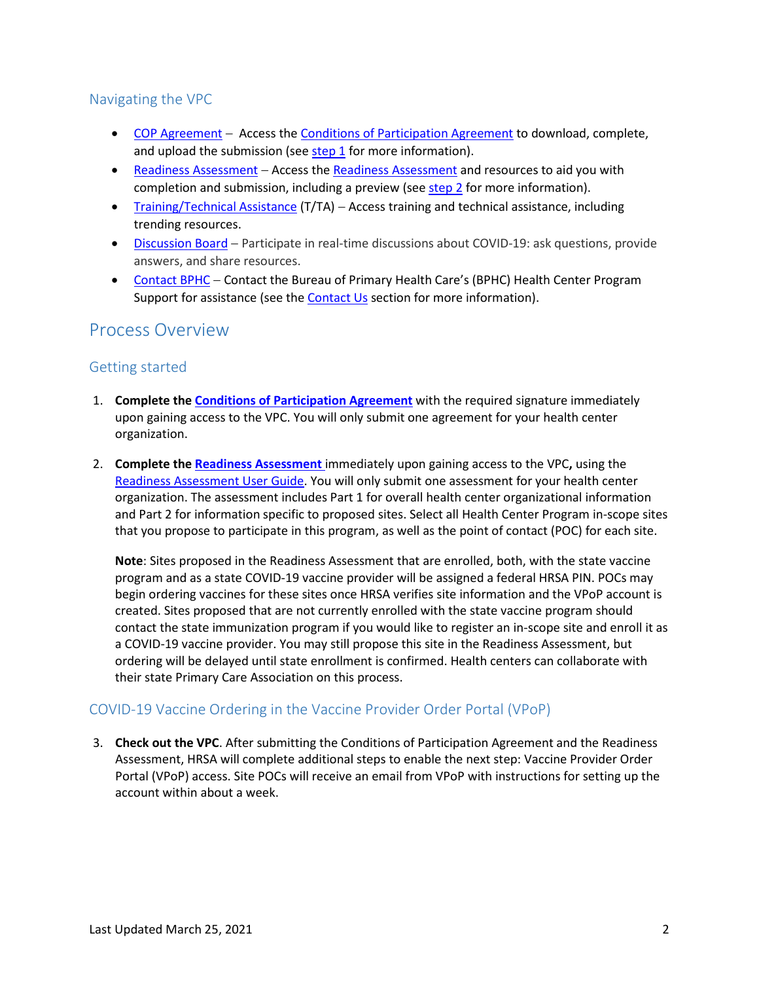#### Navigating the VPC

- [COP Agreement](https://hrsa.force.com/HRSABPHC/s/participation-agreement) Access the [Conditions of Participation Agreement](https://hrsa.force.com/HRSABPHC/s/participation-agreement) to download, complete, and upload the submission (se[e step 1](#page-1-0) for more information).
- [Readiness Assessment](https://hrsa.force.com/HRSABPHC/s/vaccine-readiness-assessment) Access the [Readiness Assessment](https://hrsa.force.com/HRSABPHC/s/vaccine-readiness-assessment) and resources to aid you with completion and submission, including a preview (see [step 2](#page-1-1) for more information).
- [Training/Technical Assistance](https://hrsa.force.com/HRSABPHC/s/covid-19-resources-) (T/TA) Access training and technical assistance, including trending resources.
- [Discussion Board](https://hrsa.force.com/HRSABPHC/s/group/CollaborationGroup/00Bi0000005ZnrDEAS) Participate in real-time discussions about COVID-19: ask questions, provide answers, and share resources.
- [Contact BPHC](https://hrsa.force.com/HRSABPHC/s/contactsupport) Contact the Bureau of Primary Health Care's (BPHC) Health Center Program Support for assistance (see the **Contact Us** section for more information).

### Process Overview

#### Getting started

- <span id="page-1-0"></span>1. **Complete the [Conditions of Participation Agreement](https://hrsa.force.com/HRSABPHC/s/participation-agreement)** with the required signature immediately upon gaining access to the VPC. You will only submit one agreement for your health center organization.
- <span id="page-1-1"></span>2. **Complete the [Readiness Assessment](https://hrsa.force.com/HRSABPHC/s/vaccine-readiness-assessment)** immediately upon gaining access to the VPC**,** using the [Readiness Assessment User Guide.](https://hrsa.force.com/HRSABPHC/s/article/Health-Center-COVID-19-Vaccine-Program-Readiness-Assessment-User-Guide) You will only submit one assessment for your health center organization. The assessment includes Part 1 for overall health center organizational information and Part 2 for information specific to proposed sites. Select all Health Center Program in-scope sites that you propose to participate in this program, as well as the point of contact (POC) for each site.

**Note**: Sites proposed in the Readiness Assessment that are enrolled, both, with the state vaccine program and as a state COVID-19 vaccine provider will be assigned a federal HRSA PIN. POCs may begin ordering vaccines for these sites once HRSA verifies site information and the VPoP account is created. Sites proposed that are not currently enrolled with the state vaccine program should contact the state immunization program if you would like to register an in-scope site and enroll it as a COVID-19 vaccine provider. You may still propose this site in the Readiness Assessment, but ordering will be delayed until state enrollment is confirmed. Health centers can collaborate with their state Primary Care Association on this process.

#### COVID-19 Vaccine Ordering in the Vaccine Provider Order Portal (VPoP)

3. **Check out the VPC**. After submitting the Conditions of Participation Agreement and the Readiness Assessment, HRSA will complete additional steps to enable the next step: Vaccine Provider Order Portal (VPoP) access. Site POCs will receive an email from VPoP with instructions for setting up the account within about a week.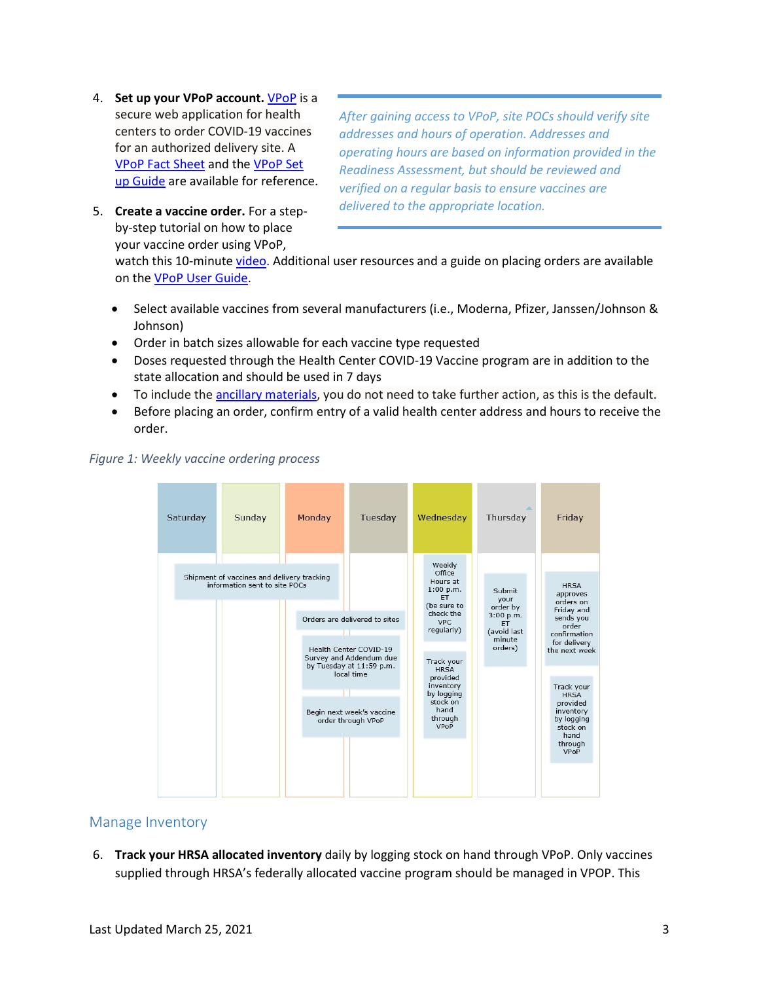- 4. **Set up your VPoP account.** [VPoP i](https://docs.oracle.com/en/industries/health-sciences/vpop-provider/index.html)s a secure web application for health centers to order COVID-19 vaccines for an authorized delivery site. A [VPoP Fact Sheet](https://hrsa.force.com/HRSABPHC/s/article/VPoP-FAQs) and th[e VPoP Set](https://docs.oracle.com/en/industries/health-sciences/vpop-provider/vpopu/get-started-oracle-vpop-provider-portal.html)  [up Guide](https://docs.oracle.com/en/industries/health-sciences/vpop-provider/vpopu/get-started-oracle-vpop-provider-portal.html) are available for reference.
- 5. **Create a vaccine order.** For a stepby-step tutorial on how to place your vaccine order using VPoP,

*After gaining access to VPoP, site POCs should verify site addresses and hours of operation. Addresses and operating hours are based on information provided in the Readiness Assessment, but should be reviewed and verified on a regular basis to ensure vaccines are delivered to the appropriate location.*

watch this 10-minute [video.](https://videohub.oracle.com/media/1_plq9zla6) Additional user resources and a guide on placing orders are available on th[e VPoP User Guide.](https://docs.oracle.com/en/industries/health-sciences/vpop-provider/vpopu/get-started.html)

- Select available vaccines from several manufacturers (i.e., Moderna, Pfizer, Janssen/Johnson & Johnson)
- Order in batch sizes allowable for each vaccine type requested
- Doses requested through the Health Center COVID-19 Vaccine program are in addition to the state allocation and should be used in 7 days
- To include the [ancillary materials,](https://www.cdc.gov/vaccines/hcp/admin/storage/toolkit/storage-handling-toolkit.pdf) you do not need to take further action, as this is the default.
- Before placing an order, confirm entry of a valid health center address and hours to receive the order.



#### *Figure 1: Weekly vaccine ordering process*

#### Manage Inventory

6. **Track your HRSA allocated inventory** daily by logging stock on hand through VPoP. Only vaccines supplied through HRSA's federally allocated vaccine program should be managed in VPOP. This